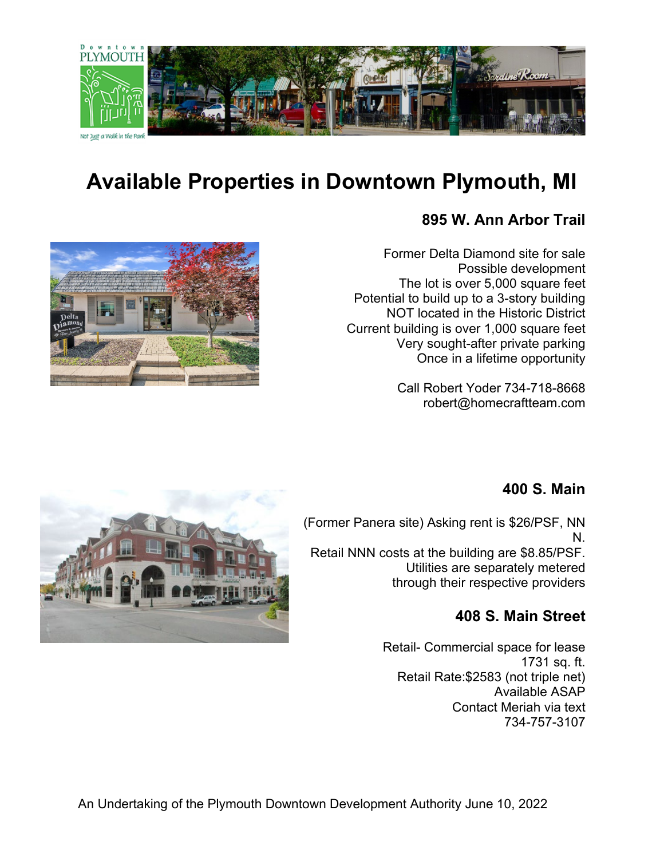

# **Available Properties in Downtown Plymouth, MI**

### **895 W. Ann Arbor Trail**

Former Delta Diamond site for sale Possible development The lot is over 5,000 square feet Potential to build up to a 3-story building NOT located in the Historic District Current building is over 1,000 square feet Very sought-after private parking Once in a lifetime opportunity

> Call Robert Yoder 734-718-8668 robert@homecraftteam.com



### **400 S. Main**

(Former Panera site) Asking rent is \$26/PSF, NN N.

Retail NNN costs at the building are \$8.85/PSF. Utilities are separately metered through their respective providers

### **408 S. Main Street**

Retail- Commercial space for lease 1731 sq. ft. Retail Rate:\$2583 (not triple net) Available ASAP Contact Meriah via text 734-757-3107

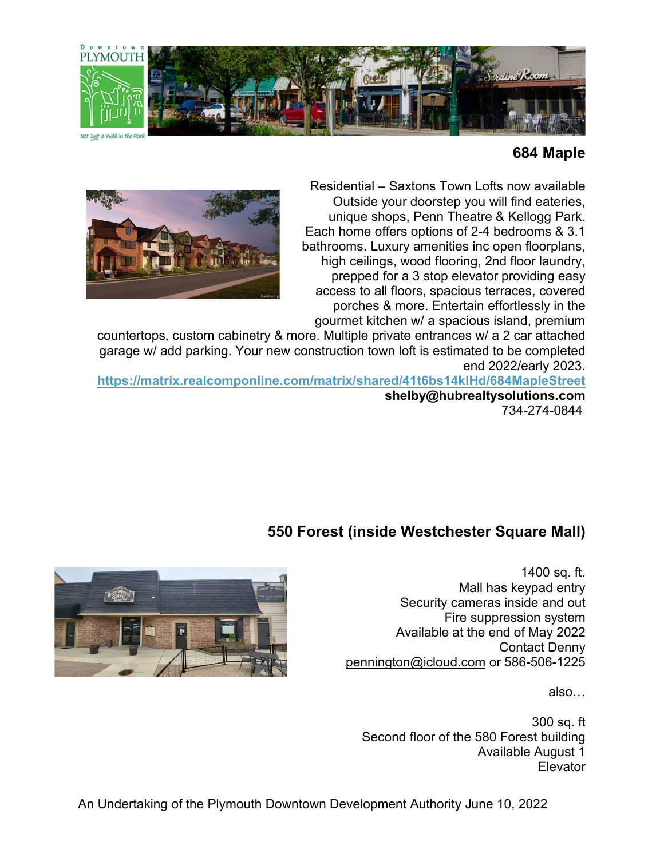

#### **684 Maple**

Residential – Saxtons Town Lofts now available Outside your doorstep you will find eateries, unique shops, Penn Theatre & Kellogg Park. Each home offers options of 2-4 bedrooms & 3.1 bathrooms. Luxury amenities inc open floorplans, high ceilings, wood flooring, 2nd floor laundry, prepped for a 3 stop elevator providing easy access to all floors, spacious terraces, covered porches & more. Entertain effortlessly in the gourmet kitchen w/ a spacious island, premium



countertops, custom cabinetry & more. Multiple private entrances w/ a 2 car attached garage w/ add parking. Your new construction town loft is estimated to be completed end 2022/early 2023.

**<https://matrix.realcomponline.com/matrix/shared/41t6bs14klHd/684MapleStreet> shelby@hubrealtysolutions.com** 734-274-0844

## **550 Forest (inside Westchester Square Mall)**

1400 sq. ft. Mall has keypad entry Security cameras inside and out Fire suppression system Available at the end of May 2022 Contact Denny [pennington@icloud.com](mailto:pennington@icloud.com) or 586-506-1225

also…

300 sq. ft Second floor of the 580 Forest building Available August 1 Elevator